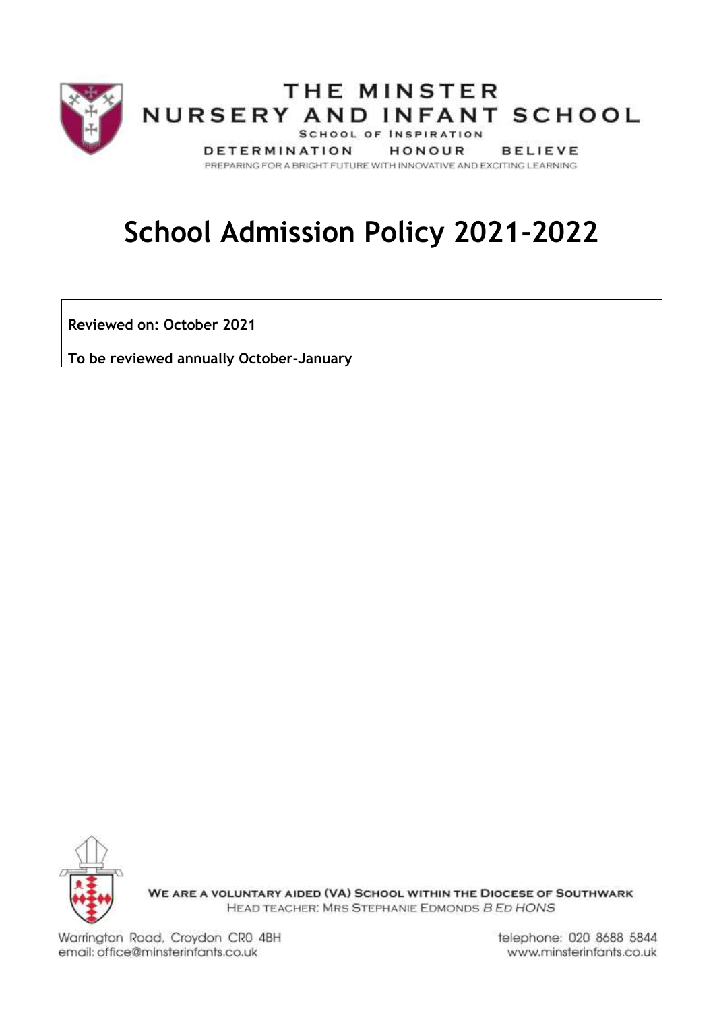

# **School Admission Policy 2021-2022**

**Reviewed on: October 2021**

**To be reviewed annually October-January**



WE ARE A VOLUNTARY AIDED (VA) SCHOOL WITHIN THE DIOCESE OF SOUTHWARK HEAD TEACHER: MRS STEPHANIE EDMONDS B ED HONS

Warrington Road, Croydon CR0 4BH email: office@minsterinfants.co.uk

telephone: 020 8688 5844 www.minsterinfants.co.uk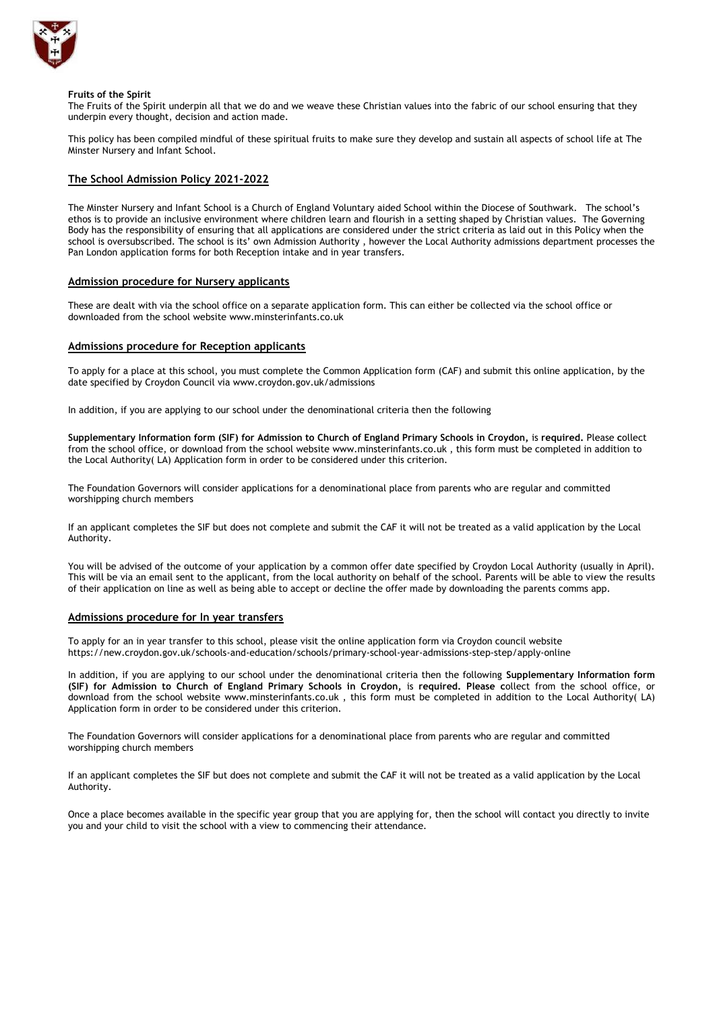

#### **Fruits of the Spirit**

The Fruits of the Spirit underpin all that we do and we weave these Christian values into the fabric of our school ensuring that they underpin every thought, decision and action made.

This policy has been compiled mindful of these spiritual fruits to make sure they develop and sustain all aspects of school life at The Minster Nursery and Infant School.

# **The School Admission Policy 2021-2022**

The Minster Nursery and Infant School is a Church of England Voluntary aided School within the Diocese of Southwark. The school's ethos is to provide an inclusive environment where children learn and flourish in a setting shaped by Christian values. The Governing Body has the responsibility of ensuring that all applications are considered under the strict criteria as laid out in this Policy when the school is oversubscribed. The school is its' own Admission Authority , however the Local Authority admissions department processes the Pan London application forms for both Reception intake and in year transfers.

## **Admission procedure for Nursery applicants**

These are dealt with via the school office on a separate application form. This can either be collected via the school office or downloaded from the school website www.minsterinfants.co.uk

## **Admissions procedure for Reception applicants**

To apply for a place at this school, you must complete the Common Application form (CAF) and submit this online application, by the date specified by Croydon Council via [www.croydon.gov.uk/admissions](http://www.croydon.gov.uk/admissions)

In addition, if you are applying to our school under the denominational criteria then the following

**Supplementary Information form (SIF) for Admission to Church of England Primary Schools in Croydon,** is **required.** Please **c**ollect from the school office, or download from the school website [www.m](http://www.parishchurchinfants.com/)insterinfants.co.uk , this form must be completed in addition to the Local Authority( LA) Application form in order to be considered under this criterion.

The Foundation Governors will consider applications for a denominational place from parents who are regular and committed worshipping church members

If an applicant completes the SIF but does not complete and submit the CAF it will not be treated as a valid application by the Local Authority.

You will be advised of the outcome of your application by a common offer date specified by Croydon Local Authority (usually in April). This will be via an email sent to the applicant, from the local authority on behalf of the school. Parents will be able to view the results of their application on line as well as being able to accept or decline the offer made by downloading the parents comms app.

### **Admissions procedure for In year transfers**

To apply for an in year transfer to this school, please visit the online application form via Croydon council website https://new.croydon.gov.uk/schools-and-education/schools/primary-school-year-admissions-step-step/apply-online

In addition, if you are applying to our school under the denominational criteria then the following **Supplementary Information form (SIF) for Admission to Church of England Primary Schools in Croydon,** is **required. Please c**ollect from the school office, or download from the school website [www.m](http://www.parishchurchinfants.com/)insterinfants.co.uk , this form must be completed in addition to the Local Authority( LA) Application form in order to be considered under this criterion.

The Foundation Governors will consider applications for a denominational place from parents who are regular and committed worshipping church members

If an applicant completes the SIF but does not complete and submit the CAF it will not be treated as a valid application by the Local Authority.

Once a place becomes available in the specific year group that you are applying for, then the school will contact you directly to invite you and your child to visit the school with a view to commencing their attendance.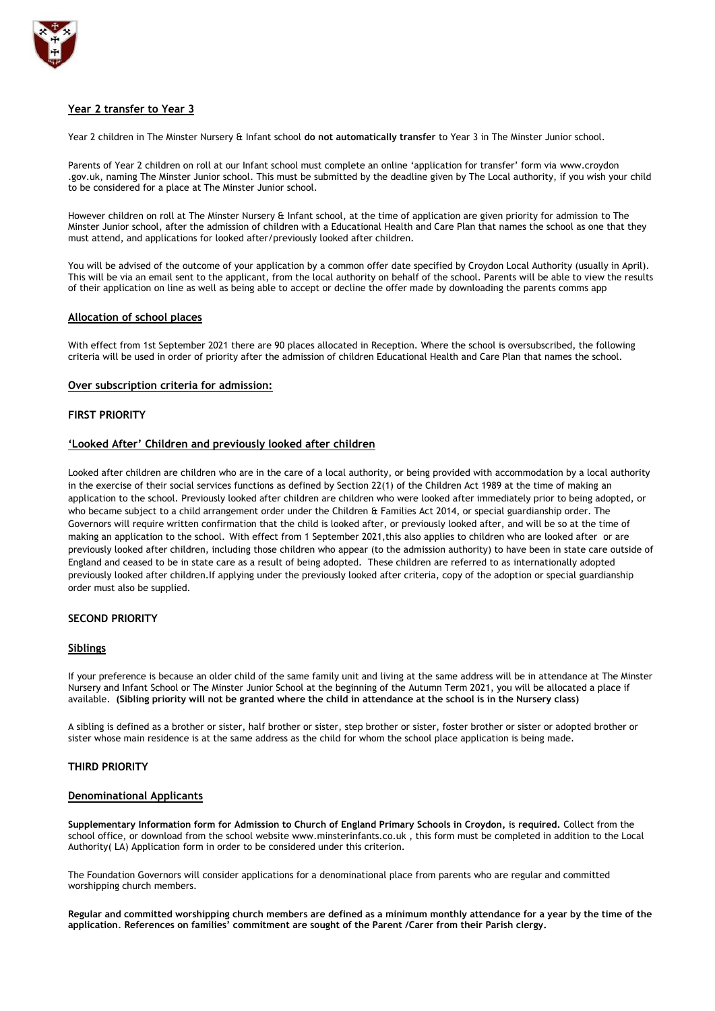

# **Year 2 transfer to Year 3**

Year 2 children in The Minster Nursery & Infant school **do not automatically transfer** to Year 3 in The Minster Junior school.

Parents of Year 2 children on roll at our Infant school must complete an online 'application for transfer' form via [www.croydon](http://www.croydon/) .gov.uk, naming The Minster Junior school. This must be submitted by the deadline given by The Local authority, if you wish your child to be considered for a place at The Minster Junior school.

However children on roll at The Minster Nursery & Infant school, at the time of application are given priority for admission to The Minster Junior school, after the admission of children with a Educational Health and Care Plan that names the school as one that they must attend, and applications for looked after/previously looked after children.

You will be advised of the outcome of your application by a common offer date specified by Croydon Local Authority (usually in April). This will be via an email sent to the applicant, from the local authority on behalf of the school. Parents will be able to view the results of their application on line as well as being able to accept or decline the offer made by downloading the parents comms app

## **Allocation of school places**

With effect from 1st September 2021 there are 90 places allocated in Reception. Where the school is oversubscribed, the following criteria will be used in order of priority after the admission of children Educational Health and Care Plan that names the school.

## **Over subscription criteria for admission:**

## **FIRST PRIORITY**

## **'Looked After' Children and previously looked after children**

Looked after children are children who are in the care of a local authority, or being provided with accommodation by a local authority in the exercise of their social services functions as defined by Section 22(1) of the Children Act 1989 at the time of making an application to the school. Previously looked after children are children who were looked after immediately prior to being adopted, or who became subject to a child arrangement order under the Children & Families Act 2014, or special guardianship order. The Governors will require written confirmation that the child is looked after, or previously looked after, and will be so at the time of making an application to the school. With effect from 1 September 2021,this also applies to children who are looked after or are previously looked after children, including those children who appear (to the admission authority) to have been in state care outside of England and ceased to be in state care as a result of being adopted. These children are referred to as internationally adopted previously looked after children.If applying under the previously looked after criteria, copy of the adoption or special guardianship order must also be supplied.

# **SECOND PRIORITY**

## **Siblings**

If your preference is because an older child of the same family unit and living at the same address will be in attendance at The Minster Nursery and Infant School or The Minster Junior School at the beginning of the Autumn Term 2021, you will be allocated a place if available. **(Sibling priority will not be granted where the child in attendance at the school is in the Nursery class)**

A sibling is defined as a brother or sister, half brother or sister, step brother or sister, foster brother or sister or adopted brother or sister whose main residence is at the same address as the child for whom the school place application is being made.

# **THIRD PRIORITY**

## **Denominational Applicants**

**Supplementary Information form for Admission to Church of England Primary Schools in Croydon,** is **required.** Collect from the school office, or download from the school website [www.m](http://www.parishchurchinfants.com/)insterinfants.co.uk , this form must be completed in addition to the Local Authority( LA) Application form in order to be considered under this criterion.

The Foundation Governors will consider applications for a denominational place from parents who are regular and committed worshipping church members.

**Regular and committed worshipping church members are defined as a minimum monthly attendance for a year by the time of the application***.* **References on families' commitment are sought of the Parent /Carer from their Parish clergy.**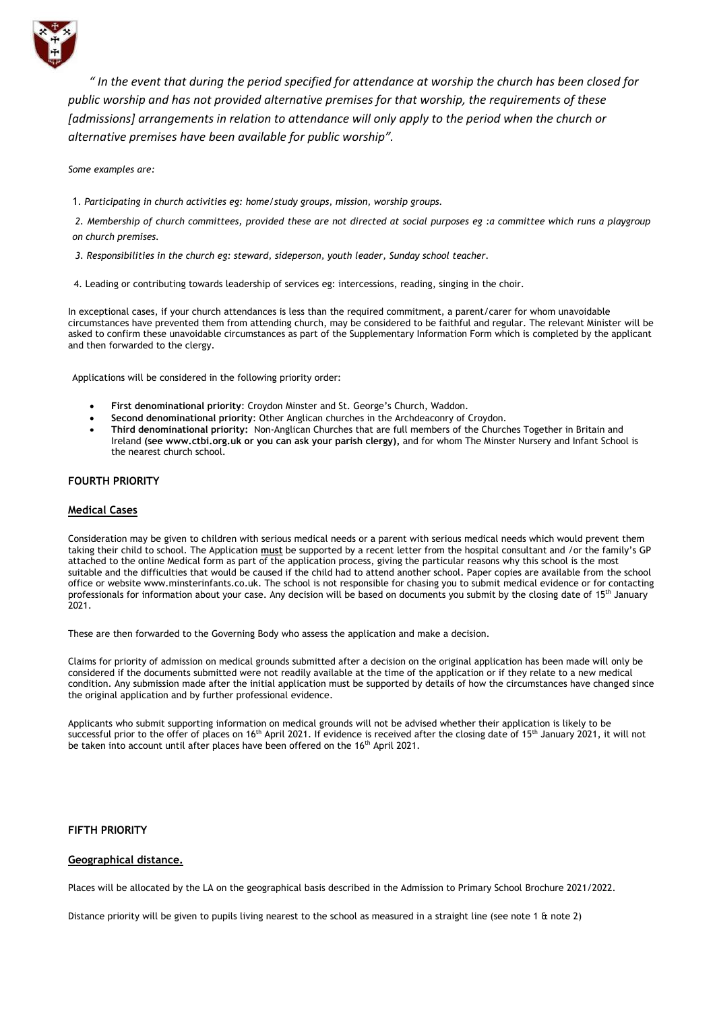

*" In the event that during the period specified for attendance at worship the church has been closed for public worship and has not provided alternative premises for that worship, the requirements of these [admissions] arrangements in relation to attendance will only apply to the period when the church or alternative premises have been available for public worship".*

*Some examples are:*

1*. Participating in church activities eg: home/study groups, mission, worship groups.*

*2. Membership of church committees, provided these are not directed at social purposes eg :a committee which runs a playgroup on church premises.*

- *3. Responsibilities in the church eg: steward, sideperson, youth leader, Sunday school teacher.*
- 4. Leading or contributing towards leadership of services eg: intercessions, reading, singing in the choir.

In exceptional cases, if your church attendances is less than the required commitment, a parent/carer for whom unavoidable circumstances have prevented them from attending church, may be considered to be faithful and regular. The relevant Minister will be asked to confirm these unavoidable circumstances as part of the Supplementary Information Form which is completed by the applicant and then forwarded to the clergy.

Applications will be considered in the following priority order:

- **First denominational priority**: Croydon Minster and St. George's Church, Waddon.
- **Second denominational priority**: Other Anglican churches in the Archdeaconry of Croydon.
- **Third denominational priority:** Non-Anglican Churches that are full members of the Churches Together in Britain and Ireland **(see [www.ctbi.org.uk](http://www.ctbi.org.uk/) or you can ask your parish clergy),** and for whom The Minster Nursery and Infant School is the nearest church school.

# **FOURTH PRIORITY**

## **Medical Cases**

Consideration may be given to children with serious medical needs or a parent with serious medical needs which would prevent them taking their child to school. The Application **must** be supported by a recent letter from the hospital consultant and /or the family's GP attached to the online Medical form as part of the application process, giving the particular reasons why this school is the most suitable and the difficulties that would be caused if the child had to attend another school. Paper copies are available from the school office or website www.minsterinfants.co.uk. The school is not responsible for chasing you to submit medical evidence or for contacting professionals for information about your case. Any decision will be based on documents you submit by the closing date of 15<sup>th</sup> January 2021.

These are then forwarded to the Governing Body who assess the application and make a decision.

Claims for priority of admission on medical grounds submitted after a decision on the original application has been made will only be considered if the documents submitted were not readily available at the time of the application or if they relate to a new medical condition. Any submission made after the initial application must be supported by details of how the circumstances have changed since the original application and by further professional evidence.

Applicants who submit supporting information on medical grounds will not be advised whether their application is likely to be successful prior to the offer of places on 16<sup>th</sup> April 2021. If evidence is received after the closing date of 15<sup>th</sup> January 2021, it will not be taken into account until after places have been offered on the 16<sup>th</sup> April 2021.

# **FIFTH PRIORITY**

## **Geographical distance.**

Places will be allocated by the LA on the geographical basis described in the Admission to Primary School Brochure 2021/2022.

Distance priority will be given to pupils living nearest to the school as measured in a straight line (see note 1 & note 2)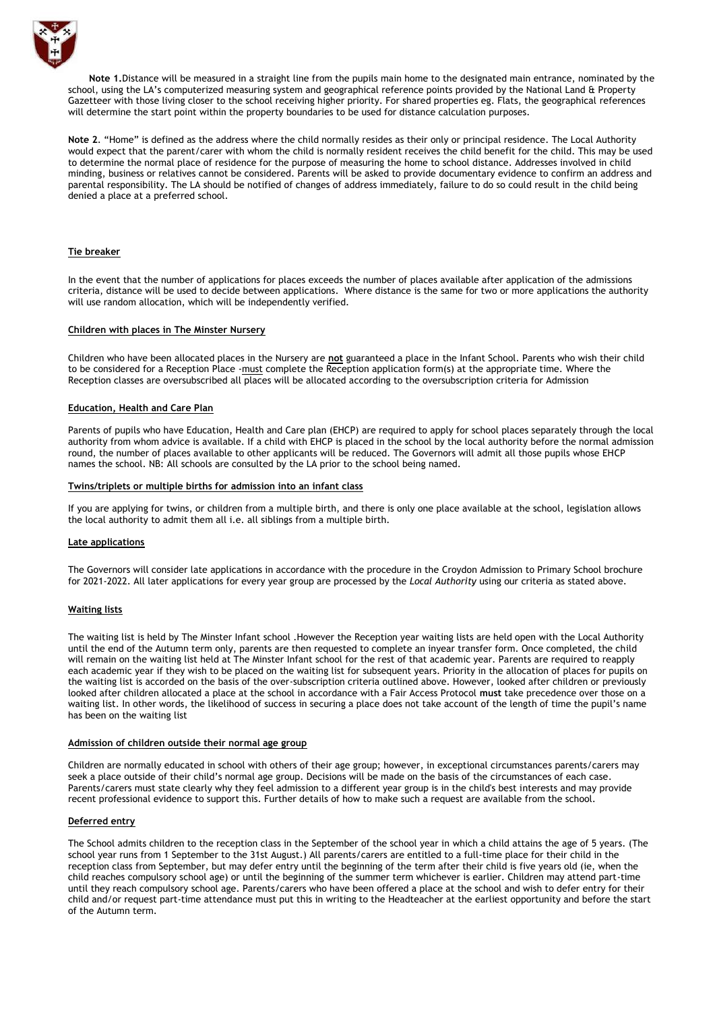

**Note 1.**Distance will be measured in a straight line from the pupils main home to the designated main entrance, nominated by the school, using the LA's computerized measuring system and geographical reference points provided by the National Land & Property Gazetteer with those living closer to the school receiving higher priority. For shared properties eg. Flats, the geographical references will determine the start point within the property boundaries to be used for distance calculation purposes.

**Note 2**. "Home" is defined as the address where the child normally resides as their only or principal residence. The Local Authority would expect that the parent/carer with whom the child is normally resident receives the child benefit for the child. This may be used to determine the normal place of residence for the purpose of measuring the home to school distance. Addresses involved in child minding, business or relatives cannot be considered. Parents will be asked to provide documentary evidence to confirm an address and parental responsibility. The LA should be notified of changes of address immediately, failure to do so could result in the child being denied a place at a preferred school.

## **Tie breaker**

In the event that the number of applications for places exceeds the number of places available after application of the admissions criteria, distance will be used to decide between applications. Where distance is the same for two or more applications the authority will use random allocation, which will be independently verified.

#### **Children with places in The Minster Nursery**

Children who have been allocated places in the Nursery are **not** guaranteed a place in the Infant School. Parents who wish their child to be considered for a Reception Place -must complete the Reception application form(s) at the appropriate time. Where the Reception classes are oversubscribed all places will be allocated according to the oversubscription criteria for Admission

### **Education, Health and Care Plan**

Parents of pupils who have Education, Health and Care plan (EHCP) are required to apply for school places separately through the local authority from whom advice is available. If a child with EHCP is placed in the school by the local authority before the normal admission round, the number of places available to other applicants will be reduced. The Governors will admit all those pupils whose EHCP names the school. NB: All schools are consulted by the LA prior to the school being named.

#### **Twins/triplets or multiple births for admission into an infant class**

If you are applying for twins, or children from a multiple birth, and there is only one place available at the school, legislation allows the local authority to admit them all i.e. all siblings from a multiple birth.

### **Late applications**

The Governors will consider late applications in accordance with the procedure in the Croydon Admission to Primary School brochure for 2021-2022. All later applications for every year group are processed by the *Local Authority* using our criteria as stated above.

## **Waiting lists**

The waiting list is held by The Minster Infant school .However the Reception year waiting lists are held open with the Local Authority until the end of the Autumn term only, parents are then requested to complete an inyear transfer form. Once completed, the child will remain on the waiting list held at The Minster Infant school for the rest of that academic year. Parents are required to reapply each academic year if they wish to be placed on the waiting list for subsequent years. Priority in the allocation of places for pupils on the waiting list is accorded on the basis of the over-subscription criteria outlined above. However, looked after children or previously looked after children allocated a place at the school in accordance with a Fair Access Protocol **must** take precedence over those on a waiting list. In other words, the likelihood of success in securing a place does not take account of the length of time the pupil's name has been on the waiting list

#### **Admission of children outside their normal age group**

Children are normally educated in school with others of their age group; however, in exceptional circumstances parents/carers may seek a place outside of their child's normal age group. Decisions will be made on the basis of the circumstances of each case. Parents/carers must state clearly why they feel admission to a different year group is in the child's best interests and may provide recent professional evidence to support this. Further details of how to make such a request are available from the school.

#### **Deferred entry**

The School admits children to the reception class in the September of the school year in which a child attains the age of 5 years. (The school year runs from 1 September to the 31st August.) All parents/carers are entitled to a full-time place for their child in the reception class from September, but may defer entry until the beginning of the term after their child is five years old (ie, when the child reaches compulsory school age) or until the beginning of the summer term whichever is earlier. Children may attend part-time until they reach compulsory school age. Parents/carers who have been offered a place at the school and wish to defer entry for their child and/or request part-time attendance must put this in writing to the Headteacher at the earliest opportunity and before the start of the Autumn term.